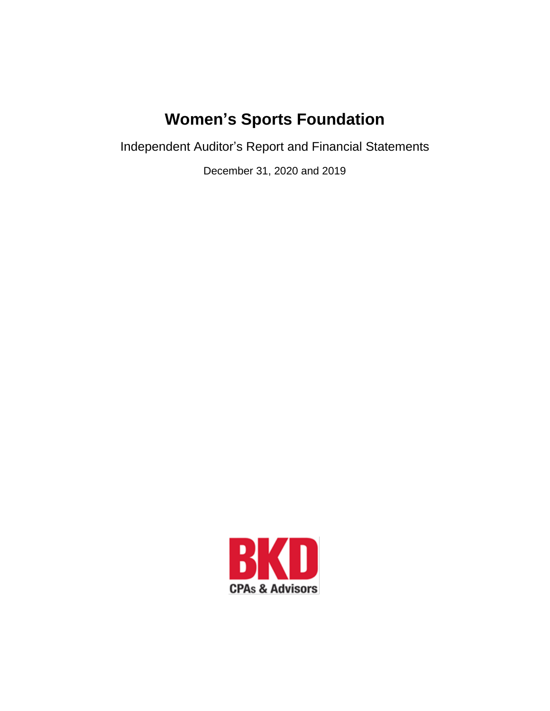Independent Auditor's Report and Financial Statements

December 31, 2020 and 2019

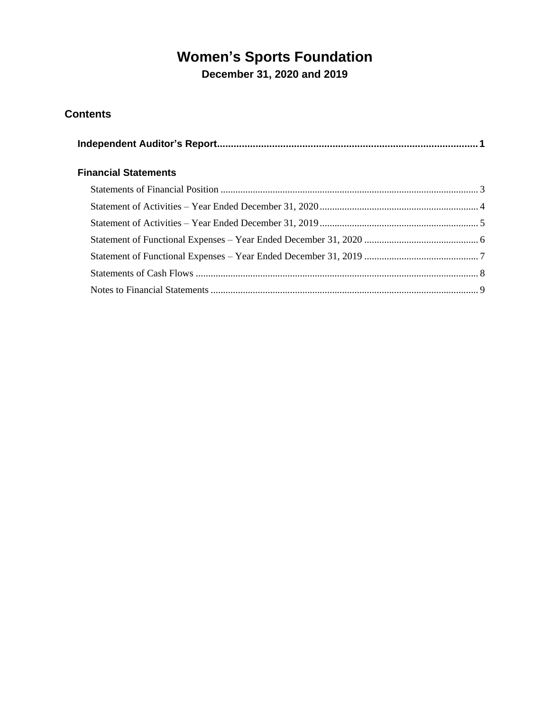**December 31, 2020 and 2019**

# **Contents**

| <b>Financial Statements</b> |  |
|-----------------------------|--|
|                             |  |
|                             |  |
|                             |  |
|                             |  |
|                             |  |
|                             |  |
|                             |  |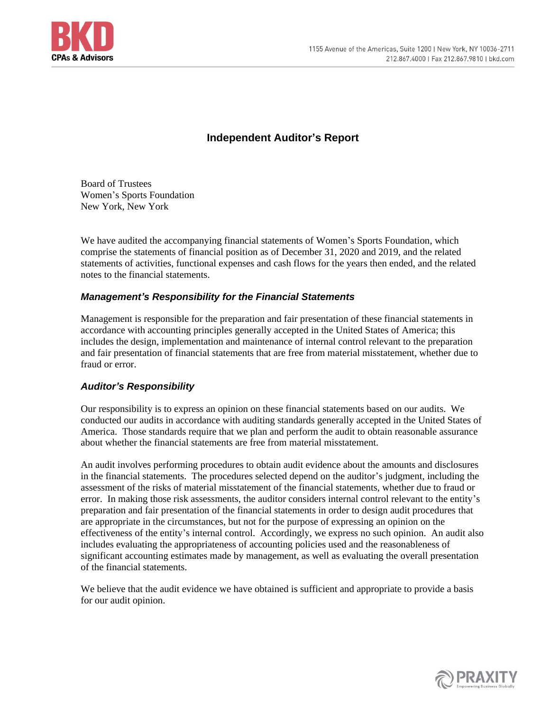

# **Independent Auditor's Report**

<span id="page-2-0"></span>Board of Trustees Women's Sports Foundation New York, New York

We have audited the accompanying financial statements of Women's Sports Foundation, which comprise the statements of financial position as of December 31, 2020 and 2019, and the related statements of activities, functional expenses and cash flows for the years then ended, and the related notes to the financial statements.

## *Management's Responsibility for the Financial Statements*

Management is responsible for the preparation and fair presentation of these financial statements in accordance with accounting principles generally accepted in the United States of America; this includes the design, implementation and maintenance of internal control relevant to the preparation and fair presentation of financial statements that are free from material misstatement, whether due to fraud or error.

#### *Auditor's Responsibility*

Our responsibility is to express an opinion on these financial statements based on our audits. We conducted our audits in accordance with auditing standards generally accepted in the United States of America. Those standards require that we plan and perform the audit to obtain reasonable assurance about whether the financial statements are free from material misstatement.

An audit involves performing procedures to obtain audit evidence about the amounts and disclosures in the financial statements. The procedures selected depend on the auditor's judgment, including the assessment of the risks of material misstatement of the financial statements, whether due to fraud or error. In making those risk assessments, the auditor considers internal control relevant to the entity's preparation and fair presentation of the financial statements in order to design audit procedures that are appropriate in the circumstances, but not for the purpose of expressing an opinion on the effectiveness of the entity's internal control. Accordingly, we express no such opinion. An audit also includes evaluating the appropriateness of accounting policies used and the reasonableness of significant accounting estimates made by management, as well as evaluating the overall presentation of the financial statements.

We believe that the audit evidence we have obtained is sufficient and appropriate to provide a basis for our audit opinion.

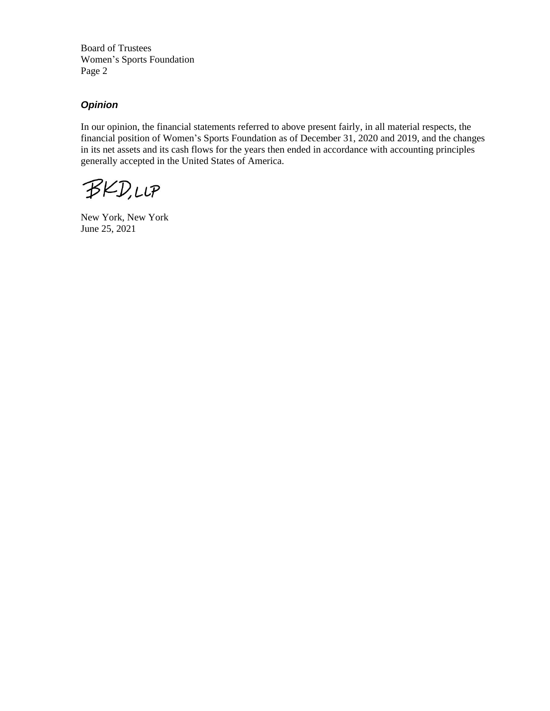Board of Trustees Women's Sports Foundation Page 2

## *Opinion*

In our opinion, the financial statements referred to above present fairly, in all material respects, the financial position of Women's Sports Foundation as of December 31, 2020 and 2019, and the changes in its net assets and its cash flows for the years then ended in accordance with accounting principles generally accepted in the United States of America.

**BKD,LLP** 

New York, New York June 25, 2021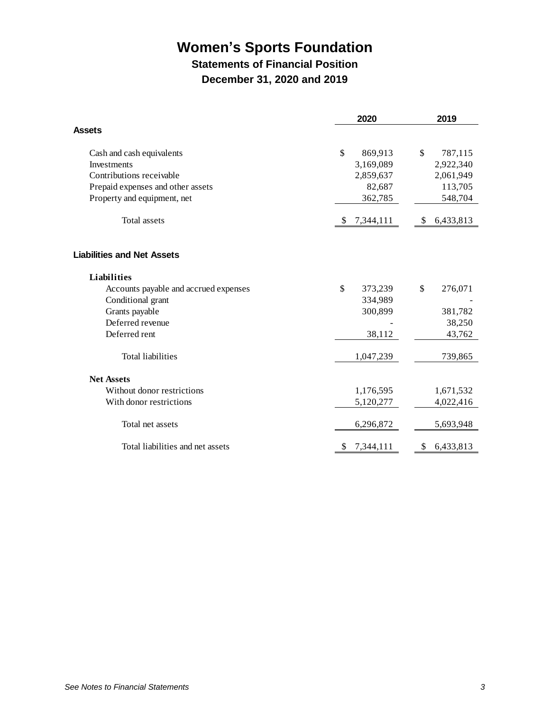# **Statements of Financial Position**

**December 31, 2020 and 2019**

<span id="page-4-0"></span>

|                                       | 2020           | 2019            |
|---------------------------------------|----------------|-----------------|
| <b>Assets</b>                         |                |                 |
| Cash and cash equivalents             | \$<br>869,913  | \$<br>787,115   |
| Investments                           | 3,169,089      | 2,922,340       |
| Contributions receivable              | 2,859,637      | 2,061,949       |
| Prepaid expenses and other assets     | 82,687         | 113,705         |
| Property and equipment, net           | 362,785        | 548,704         |
| Total assets                          | 7,344,111      | 6,433,813<br>\$ |
| <b>Liabilities and Net Assets</b>     |                |                 |
| <b>Liabilities</b>                    |                |                 |
| Accounts payable and accrued expenses | \$<br>373,239  | \$<br>276,071   |
| Conditional grant                     | 334,989        |                 |
| Grants payable                        | 300,899        | 381,782         |
| Deferred revenue                      |                | 38,250          |
| Deferred rent                         | 38,112         | 43,762          |
| Total liabilities                     | 1,047,239      | 739,865         |
| <b>Net Assets</b>                     |                |                 |
| Without donor restrictions            | 1,176,595      | 1,671,532       |
| With donor restrictions               | 5,120,277      | 4,022,416       |
| Total net assets                      | 6,296,872      | 5,693,948       |
| Total liabilities and net assets      | 7,344,111<br>S | \$<br>6,433,813 |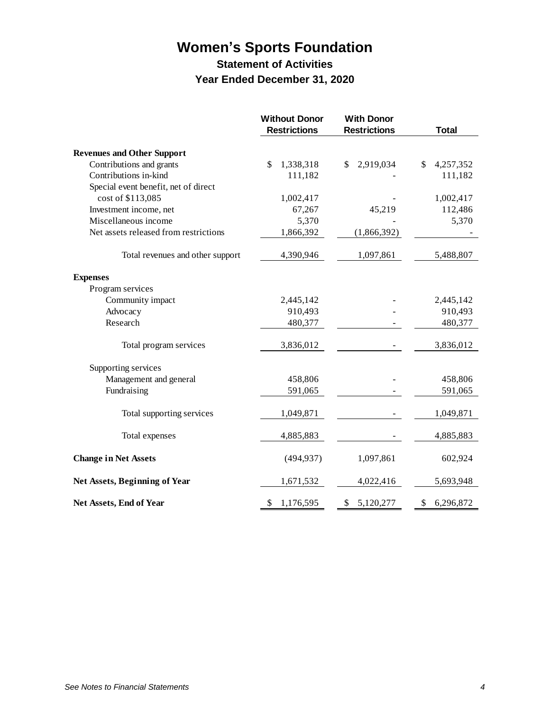# **Statement of Activities Year Ended December 31, 2020**

<span id="page-5-0"></span>

|                                       | <b>Without Donor</b><br><b>Restrictions</b> | <b>With Donor</b><br><b>Restrictions</b> | <b>Total</b>    |
|---------------------------------------|---------------------------------------------|------------------------------------------|-----------------|
| <b>Revenues and Other Support</b>     |                                             |                                          |                 |
| Contributions and grants              | $\mathcal{S}$<br>1,338,318                  | 2,919,034<br>\$                          | 4,257,352<br>\$ |
| Contributions in-kind                 | 111,182                                     |                                          | 111,182         |
| Special event benefit, net of direct  |                                             |                                          |                 |
| cost of \$113,085                     | 1,002,417                                   |                                          | 1,002,417       |
| Investment income, net                | 67,267                                      | 45,219                                   | 112,486         |
| Miscellaneous income                  | 5,370                                       |                                          | 5,370           |
| Net assets released from restrictions | 1,866,392                                   | (1,866,392)                              |                 |
| Total revenues and other support      | 4,390,946                                   | 1,097,861                                | 5,488,807       |
| <b>Expenses</b>                       |                                             |                                          |                 |
| Program services                      |                                             |                                          |                 |
| Community impact                      | 2,445,142                                   |                                          | 2,445,142       |
| Advocacy                              | 910,493                                     |                                          | 910,493         |
| Research                              | 480,377                                     |                                          | 480,377         |
| Total program services                | 3,836,012                                   |                                          | 3,836,012       |
| Supporting services                   |                                             |                                          |                 |
| Management and general                | 458,806                                     |                                          | 458,806         |
| Fundraising                           | 591,065                                     |                                          | 591,065         |
| Total supporting services             | 1,049,871                                   |                                          | 1,049,871       |
| Total expenses                        | 4,885,883                                   |                                          | 4,885,883       |
| <b>Change in Net Assets</b>           | (494, 937)                                  | 1,097,861                                | 602,924         |
| <b>Net Assets, Beginning of Year</b>  | 1,671,532                                   | 4,022,416                                | 5,693,948       |
| Net Assets, End of Year               | 1,176,595<br>\$                             | \$<br>5,120,277                          | \$<br>6,296,872 |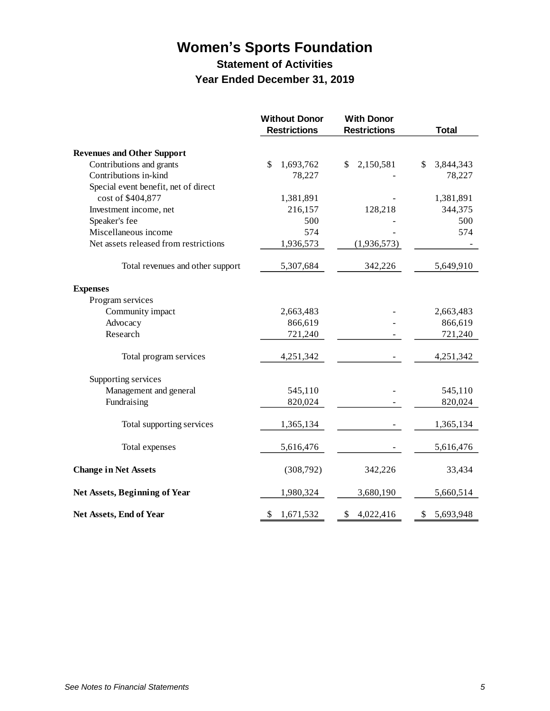# **Statement of Activities Year Ended December 31, 2019**

<span id="page-6-0"></span>

|                                       | <b>Without Donor</b><br><b>Restrictions</b> | <b>With Donor</b><br><b>Restrictions</b> | <b>Total</b>     |
|---------------------------------------|---------------------------------------------|------------------------------------------|------------------|
| <b>Revenues and Other Support</b>     |                                             |                                          |                  |
| Contributions and grants              | $\mathcal{S}$<br>1,693,762                  | 2,150,581<br>\$                          | 3,844,343<br>\$. |
| Contributions in-kind                 | 78,227                                      |                                          | 78,227           |
| Special event benefit, net of direct  |                                             |                                          |                  |
| cost of \$404,877                     | 1,381,891                                   |                                          | 1,381,891        |
| Investment income, net                | 216,157                                     | 128,218                                  | 344,375          |
| Speaker's fee                         | 500                                         |                                          | 500              |
| Miscellaneous income                  | 574                                         |                                          | 574              |
| Net assets released from restrictions | 1,936,573                                   | (1,936,573)                              |                  |
| Total revenues and other support      | 5,307,684                                   | 342,226                                  | 5,649,910        |
| <b>Expenses</b>                       |                                             |                                          |                  |
| Program services                      |                                             |                                          |                  |
| Community impact                      | 2,663,483                                   |                                          | 2,663,483        |
| Advocacy                              | 866,619                                     |                                          | 866,619          |
| Research                              | 721,240                                     |                                          | 721,240          |
| Total program services                | 4,251,342                                   |                                          | 4,251,342        |
| Supporting services                   |                                             |                                          |                  |
| Management and general                | 545,110                                     |                                          | 545,110          |
| Fundraising                           | 820,024                                     |                                          | 820,024          |
| Total supporting services             | 1,365,134                                   |                                          | 1,365,134        |
| Total expenses                        | 5,616,476                                   |                                          | 5,616,476        |
| <b>Change in Net Assets</b>           | (308,792)                                   | 342,226                                  | 33,434           |
| <b>Net Assets, Beginning of Year</b>  | 1,980,324                                   | 3,680,190                                | 5,660,514        |
| <b>Net Assets, End of Year</b>        | \$<br>1,671,532                             | \$<br>4,022,416                          | \$<br>5,693,948  |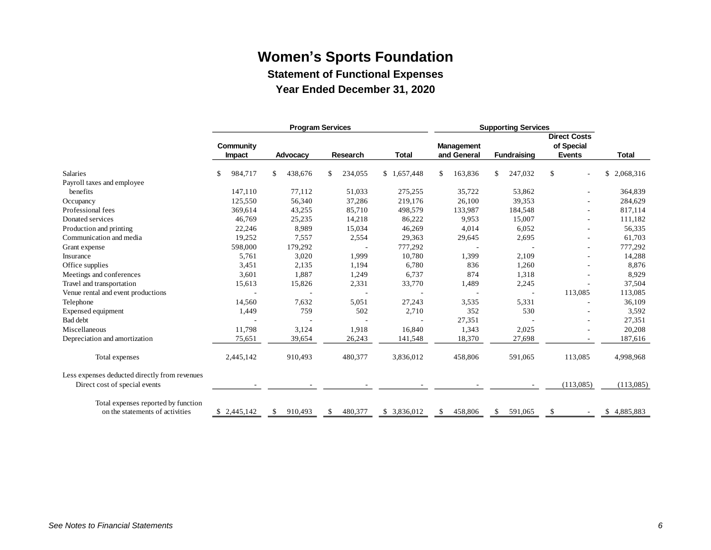**Statement of Functional Expenses**

**Year Ended December 31, 2020**

<span id="page-7-0"></span>

|                                               | <b>Program Services</b> |                |                | <b>Supporting Services</b> |                   |                    |                                   |                 |
|-----------------------------------------------|-------------------------|----------------|----------------|----------------------------|-------------------|--------------------|-----------------------------------|-----------------|
|                                               | Community               |                |                |                            | <b>Management</b> |                    | <b>Direct Costs</b><br>of Special |                 |
|                                               | Impact                  | Advocacy       | Research       | <b>Total</b>               | and General       | <b>Fundraising</b> | <b>Events</b>                     | Total           |
| Salaries                                      | 984,717<br>\$           | 438,676<br>\$. | 234,055<br>\$. | \$1,657,448                | 163,836<br>\$     | 247,032<br>\$      | \$                                | \$<br>2,068,316 |
| Payroll taxes and employee                    |                         |                |                |                            |                   |                    |                                   |                 |
| benefits                                      | 147,110                 | 77,112         | 51,033         | 275,255                    | 35,722            | 53,862             |                                   | 364,839         |
| Occupancy                                     | 125,550                 | 56,340         | 37,286         | 219,176                    | 26,100            | 39,353             |                                   | 284,629         |
| Professional fees                             | 369,614                 | 43,255         | 85,710         | 498,579                    | 133,987           | 184,548            |                                   | 817,114         |
| Donated services                              | 46,769                  | 25,235         | 14,218         | 86,222                     | 9.953             | 15,007             |                                   | 111,182         |
| Production and printing                       | 22,246                  | 8,989          | 15,034         | 46,269                     | 4,014             | 6,052              |                                   | 56,335          |
| Communication and media                       | 19,252                  | 7,557          | 2,554          | 29,363                     | 29,645            | 2,695              |                                   | 61,703          |
| Grant expense                                 | 598,000                 | 179,292        |                | 777,292                    |                   |                    |                                   | 777,292         |
| Insurance                                     | 5,761                   | 3,020          | 1,999          | 10,780                     | 1,399             | 2,109              |                                   | 14,288          |
| Office supplies                               | 3,451                   | 2,135          | 1,194          | 6,780                      | 836               | 1,260              |                                   | 8,876           |
| Meetings and conferences                      | 3,601                   | 1,887          | 1,249          | 6,737                      | 874               | 1,318              |                                   | 8,929           |
| Travel and transportation                     | 15,613                  | 15,826         | 2,331          | 33,770                     | 1,489             | 2,245              |                                   | 37,504          |
| Venue rental and event productions            |                         |                |                |                            |                   |                    | 113,085                           | 113,085         |
| Telephone                                     | 14,560                  | 7,632          | 5,051          | 27,243                     | 3,535             | 5,331              |                                   | 36,109          |
| Expensed equipment                            | 1,449                   | 759            | 502            | 2,710                      | 352               | 530                |                                   | 3,592           |
| Bad debt                                      |                         |                |                |                            | 27,351            |                    |                                   | 27,351          |
| Miscellaneous                                 | 11,798                  | 3,124          | 1,918          | 16,840                     | 1,343             | 2,025              |                                   | 20,208          |
| Depreciation and amortization                 | 75,651                  | 39,654         | 26,243         | 141,548                    | 18,370            | 27,698             |                                   | 187,616         |
| Total expenses                                | 2,445,142               | 910.493        | 480,377        | 3,836,012                  | 458,806           | 591,065            | 113,085                           | 4,998,968       |
| Less expenses deducted directly from revenues |                         |                |                |                            |                   |                    |                                   |                 |
| Direct cost of special events                 |                         |                |                |                            |                   |                    | (113,085)                         | (113,085)       |
| Total expenses reported by function           |                         |                |                |                            |                   |                    |                                   |                 |
| on the statements of activities               | \$2,445,142             | 910,493<br>\$  | 480,377<br>S.  | \$ 3,836,012               | 458,806<br>S.     | 591,065<br>S.      | \$                                | \$4,885,883     |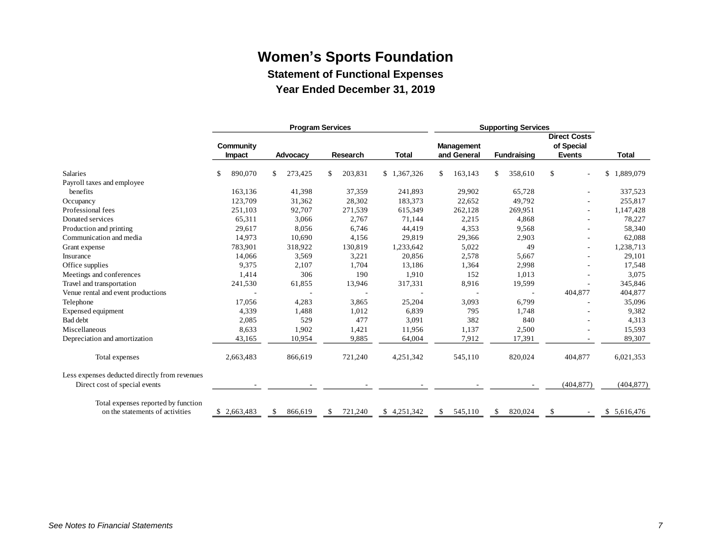**Statement of Functional Expenses**

**Year Ended December 31, 2019**

<span id="page-8-0"></span>

|                                               | <b>Program Services</b> |                |                | <b>Supporting Services</b> |                   |                    |                                   |                 |
|-----------------------------------------------|-------------------------|----------------|----------------|----------------------------|-------------------|--------------------|-----------------------------------|-----------------|
|                                               | Community               |                |                |                            | <b>Management</b> |                    | <b>Direct Costs</b><br>of Special |                 |
|                                               | Impact                  | Advocacy       | Research       | <b>Total</b>               | and General       | <b>Fundraising</b> | <b>Events</b>                     | <b>Total</b>    |
| Salaries                                      | 890,070<br>\$           | 273,425<br>\$. | 203,831<br>\$. | \$1,367,326                | 163,143<br>\$     | 358,610<br>\$      | \$                                | 1,889,079<br>\$ |
| Payroll taxes and employee                    |                         |                |                |                            |                   |                    |                                   |                 |
| benefits                                      | 163,136                 | 41,398         | 37,359         | 241,893                    | 29,902            | 65,728             |                                   | 337,523         |
| Occupancy                                     | 123,709                 | 31,362         | 28,302         | 183,373                    | 22,652            | 49,792             |                                   | 255,817         |
| Professional fees                             | 251,103                 | 92,707         | 271,539        | 615,349                    | 262,128           | 269,951            |                                   | 1,147,428       |
| Donated services                              | 65,311                  | 3,066          | 2,767          | 71,144                     | 2,215             | 4,868              |                                   | 78,227          |
| Production and printing                       | 29,617                  | 8,056          | 6,746          | 44,419                     | 4,353             | 9,568              |                                   | 58,340          |
| Communication and media                       | 14,973                  | 10,690         | 4,156          | 29,819                     | 29,366            | 2,903              |                                   | 62,088          |
| Grant expense                                 | 783,901                 | 318,922        | 130,819        | 1,233,642                  | 5,022             | 49                 |                                   | 1,238,713       |
| Insurance                                     | 14,066                  | 3,569          | 3,221          | 20,856                     | 2,578             | 5,667              |                                   | 29,101          |
| Office supplies                               | 9,375                   | 2,107          | 1,704          | 13,186                     | 1,364             | 2,998              |                                   | 17,548          |
| Meetings and conferences                      | 1,414                   | 306            | 190            | 1,910                      | 152               | 1,013              |                                   | 3,075           |
| Travel and transportation                     | 241,530                 | 61,855         | 13,946         | 317,331                    | 8,916             | 19,599             |                                   | 345,846         |
| Venue rental and event productions            |                         |                |                |                            |                   |                    | 404,877                           | 404,877         |
| Telephone                                     | 17,056                  | 4,283          | 3,865          | 25,204                     | 3,093             | 6,799              |                                   | 35,096          |
| Expensed equipment                            | 4,339                   | 1,488          | 1,012          | 6,839                      | 795               | 1,748              |                                   | 9,382           |
| Bad debt                                      | 2,085                   | 529            | 477            | 3,091                      | 382               | 840                |                                   | 4,313           |
| Miscellaneous                                 | 8,633                   | 1,902          | 1,421          | 11,956                     | 1,137             | 2,500              |                                   | 15,593          |
| Depreciation and amortization                 | 43,165                  | 10,954         | 9,885          | 64,004                     | 7,912             | 17,391             |                                   | 89,307          |
| Total expenses                                | 2,663,483               | 866,619        | 721,240        | 4,251,342                  | 545,110           | 820,024            | 404,877                           | 6,021,353       |
| Less expenses deducted directly from revenues |                         |                |                |                            |                   |                    |                                   |                 |
| Direct cost of special events                 |                         |                |                |                            |                   |                    | (404, 877)                        | (404, 877)      |
| Total expenses reported by function           |                         |                |                |                            |                   |                    |                                   |                 |
| on the statements of activities               | \$2,663,483             | 866,619<br>S.  | 721,240<br>S.  | \$4,251,342                | 545,110<br>\$     | 820,024<br>S.      | \$                                | \$5,616,476     |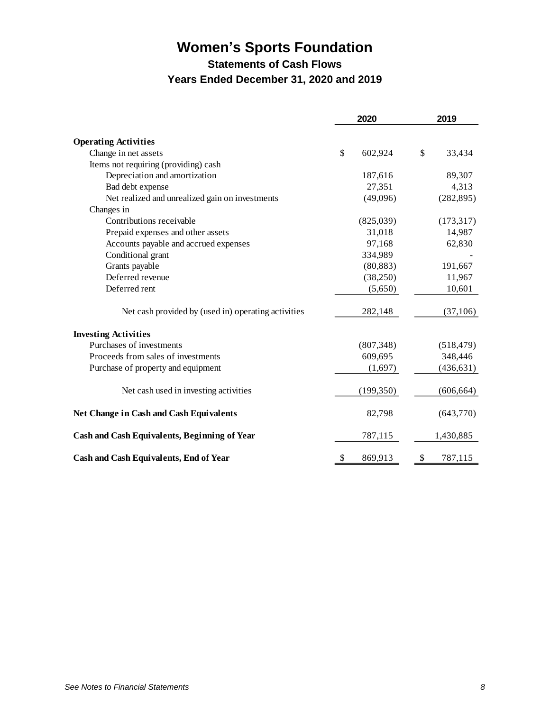**Statements of Cash Flows**

# **Years Ended December 31, 2020 and 2019**

<span id="page-9-0"></span>

|                                                     | 2020 |            | 2019          |
|-----------------------------------------------------|------|------------|---------------|
| <b>Operating Activities</b>                         |      |            |               |
| Change in net assets                                | \$   | 602,924    | \$<br>33,434  |
| Items not requiring (providing) cash                |      |            |               |
| Depreciation and amortization                       |      | 187,616    | 89,307        |
| Bad debt expense                                    |      | 27,351     | 4,313         |
| Net realized and unrealized gain on investments     |      | (49,096)   | (282, 895)    |
| Changes in                                          |      |            |               |
| Contributions receivable                            |      | (825,039)  | (173, 317)    |
| Prepaid expenses and other assets                   |      | 31,018     | 14,987        |
| Accounts payable and accrued expenses               |      | 97,168     | 62,830        |
| Conditional grant                                   |      | 334,989    |               |
| Grants payable                                      |      | (80, 883)  | 191,667       |
| Deferred revenue                                    |      | (38,250)   | 11,967        |
| Deferred rent                                       |      | (5,650)    | 10,601        |
| Net cash provided by (used in) operating activities |      | 282,148    | (37,106)      |
| <b>Investing Activities</b>                         |      |            |               |
| Purchases of investments                            |      | (807, 348) | (518, 479)    |
| Proceeds from sales of investments                  |      | 609,695    | 348,446       |
| Purchase of property and equipment                  |      | (1,697)    | (436, 631)    |
| Net cash used in investing activities               |      | (199,350)  | (606, 664)    |
| Net Change in Cash and Cash Equivalents             |      | 82,798     | (643,770)     |
| Cash and Cash Equivalents, Beginning of Year        |      | 787,115    | 1,430,885     |
| <b>Cash and Cash Equivalents, End of Year</b>       | \$   | 869,913    | \$<br>787,115 |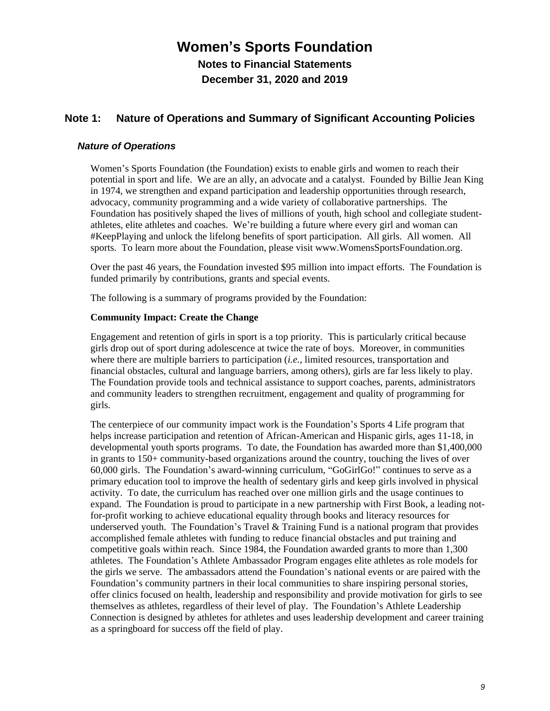**Notes to Financial Statements December 31, 2020 and 2019**

# <span id="page-10-0"></span>**Note 1: Nature of Operations and Summary of Significant Accounting Policies**

## *Nature of Operations*

Women's Sports Foundation (the Foundation) exists to enable girls and women to reach their potential in sport and life. We are an ally, an advocate and a catalyst. Founded by Billie Jean King in 1974, we strengthen and expand participation and leadership opportunities through research, advocacy, community programming and a wide variety of collaborative partnerships. The Foundation has positively shaped the lives of millions of youth, high school and collegiate studentathletes, elite athletes and coaches. We're building a future where every girl and woman can #KeepPlaying and unlock the lifelong benefits of sport participation. All girls. All women. All sports. To learn more about the Foundation, please visit www.WomensSportsFoundation.org.

Over the past 46 years, the Foundation invested \$95 million into impact efforts. The Foundation is funded primarily by contributions, grants and special events.

The following is a summary of programs provided by the Foundation:

#### **Community Impact: Create the Change**

Engagement and retention of girls in sport is a top priority. This is particularly critical because girls drop out of sport during adolescence at twice the rate of boys. Moreover, in communities where there are multiple barriers to participation (*i.e.*, limited resources, transportation and financial obstacles, cultural and language barriers, among others), girls are far less likely to play. The Foundation provide tools and technical assistance to support coaches, parents, administrators and community leaders to strengthen recruitment, engagement and quality of programming for girls.

The centerpiece of our community impact work is the Foundation's Sports 4 Life program that helps increase participation and retention of African-American and Hispanic girls, ages 11-18, in developmental youth sports programs. To date, the Foundation has awarded more than \$1,400,000 in grants to 150+ community-based organizations around the country, touching the lives of over 60,000 girls. The Foundation's award-winning curriculum, "GoGirlGo!" continues to serve as a primary education tool to improve the health of sedentary girls and keep girls involved in physical activity. To date, the curriculum has reached over one million girls and the usage continues to expand. The Foundation is proud to participate in a new partnership with First Book, a leading notfor-profit working to achieve educational equality through books and literacy resources for underserved youth. The Foundation's Travel & Training Fund is a national program that provides accomplished female athletes with funding to reduce financial obstacles and put training and competitive goals within reach. Since 1984, the Foundation awarded grants to more than 1,300 athletes. The Foundation's Athlete Ambassador Program engages elite athletes as role models for the girls we serve. The ambassadors attend the Foundation's national events or are paired with the Foundation's community partners in their local communities to share inspiring personal stories, offer clinics focused on health, leadership and responsibility and provide motivation for girls to see themselves as athletes, regardless of their level of play. The Foundation's Athlete Leadership Connection is designed by athletes for athletes and uses leadership development and career training as a springboard for success off the field of play.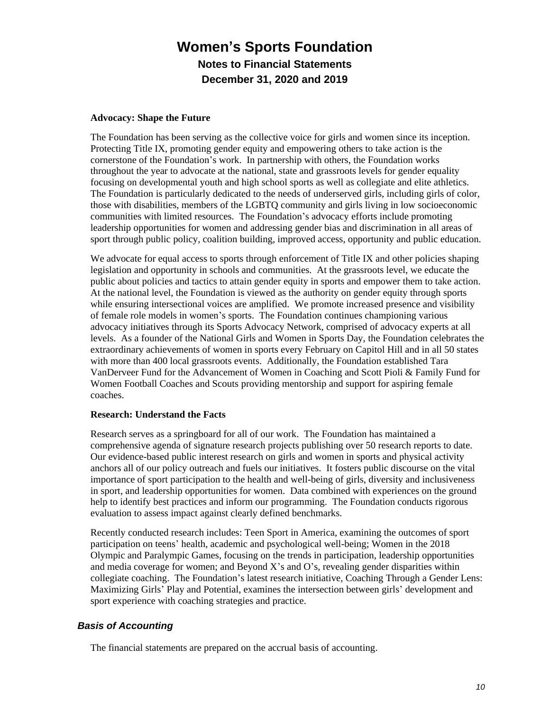#### **Advocacy: Shape the Future**

The Foundation has been serving as the collective voice for girls and women since its inception. Protecting Title IX, promoting gender equity and empowering others to take action is the cornerstone of the Foundation's work. In partnership with others, the Foundation works throughout the year to advocate at the national, state and grassroots levels for gender equality focusing on developmental youth and high school sports as well as collegiate and elite athletics. The Foundation is particularly dedicated to the needs of underserved girls, including girls of color, those with disabilities, members of the LGBTQ community and girls living in low socioeconomic communities with limited resources. The Foundation's advocacy efforts include promoting leadership opportunities for women and addressing gender bias and discrimination in all areas of sport through public policy, coalition building, improved access, opportunity and public education.

We advocate for equal access to sports through enforcement of Title IX and other policies shaping legislation and opportunity in schools and communities. At the grassroots level, we educate the public about policies and tactics to attain gender equity in sports and empower them to take action. At the national level, the Foundation is viewed as the authority on gender equity through sports while ensuring intersectional voices are amplified. We promote increased presence and visibility of female role models in women's sports. The Foundation continues championing various advocacy initiatives through its Sports Advocacy Network, comprised of advocacy experts at all levels. As a founder of the National Girls and Women in Sports Day, the Foundation celebrates the extraordinary achievements of women in sports every February on Capitol Hill and in all 50 states with more than 400 local grassroots events. Additionally, the Foundation established Tara VanDerveer Fund for the Advancement of Women in Coaching and Scott Pioli & Family Fund for Women Football Coaches and Scouts providing mentorship and support for aspiring female coaches.

#### **Research: Understand the Facts**

Research serves as a springboard for all of our work. The Foundation has maintained a comprehensive agenda of signature research projects publishing over 50 research reports to date. Our evidence-based public interest research on girls and women in sports and physical activity anchors all of our policy outreach and fuels our initiatives. It fosters public discourse on the vital importance of sport participation to the health and well-being of girls, diversity and inclusiveness in sport, and leadership opportunities for women. Data combined with experiences on the ground help to identify best practices and inform our programming. The Foundation conducts rigorous evaluation to assess impact against clearly defined benchmarks.

Recently conducted research includes: Teen Sport in America, examining the outcomes of sport participation on teens' health, academic and psychological well-being; Women in the 2018 Olympic and Paralympic Games, focusing on the trends in participation, leadership opportunities and media coverage for women; and Beyond X's and O's, revealing gender disparities within collegiate coaching. The Foundation's latest research initiative, Coaching Through a Gender Lens: Maximizing Girls' Play and Potential, examines the intersection between girls' development and sport experience with coaching strategies and practice.

## *Basis of Accounting*

The financial statements are prepared on the accrual basis of accounting.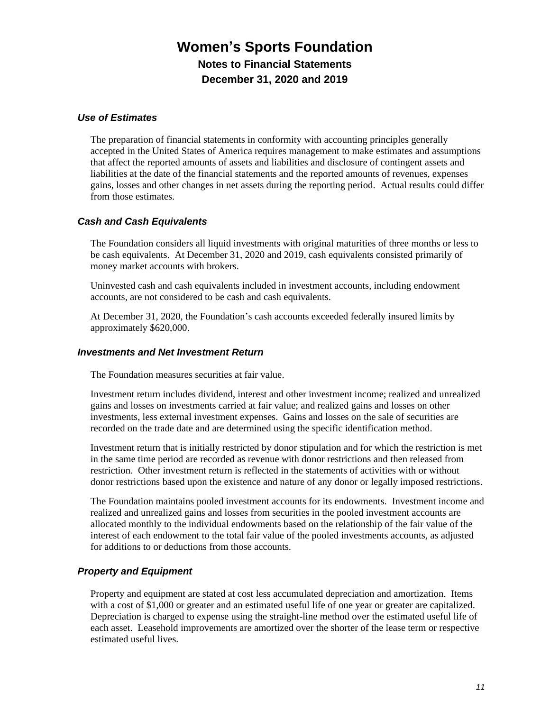### *Use of Estimates*

The preparation of financial statements in conformity with accounting principles generally accepted in the United States of America requires management to make estimates and assumptions that affect the reported amounts of assets and liabilities and disclosure of contingent assets and liabilities at the date of the financial statements and the reported amounts of revenues, expenses gains, losses and other changes in net assets during the reporting period. Actual results could differ from those estimates.

# *Cash and Cash Equivalents*

The Foundation considers all liquid investments with original maturities of three months or less to be cash equivalents. At December 31, 2020 and 2019, cash equivalents consisted primarily of money market accounts with brokers.

Uninvested cash and cash equivalents included in investment accounts, including endowment accounts, are not considered to be cash and cash equivalents.

At December 31, 2020, the Foundation's cash accounts exceeded federally insured limits by approximately \$620,000.

### *Investments and Net Investment Return*

The Foundation measures securities at fair value.

Investment return includes dividend, interest and other investment income; realized and unrealized gains and losses on investments carried at fair value; and realized gains and losses on other investments, less external investment expenses. Gains and losses on the sale of securities are recorded on the trade date and are determined using the specific identification method.

Investment return that is initially restricted by donor stipulation and for which the restriction is met in the same time period are recorded as revenue with donor restrictions and then released from restriction. Other investment return is reflected in the statements of activities with or without donor restrictions based upon the existence and nature of any donor or legally imposed restrictions.

The Foundation maintains pooled investment accounts for its endowments. Investment income and realized and unrealized gains and losses from securities in the pooled investment accounts are allocated monthly to the individual endowments based on the relationship of the fair value of the interest of each endowment to the total fair value of the pooled investments accounts, as adjusted for additions to or deductions from those accounts.

## *Property and Equipment*

Property and equipment are stated at cost less accumulated depreciation and amortization. Items with a cost of \$1,000 or greater and an estimated useful life of one year or greater are capitalized. Depreciation is charged to expense using the straight-line method over the estimated useful life of each asset. Leasehold improvements are amortized over the shorter of the lease term or respective estimated useful lives.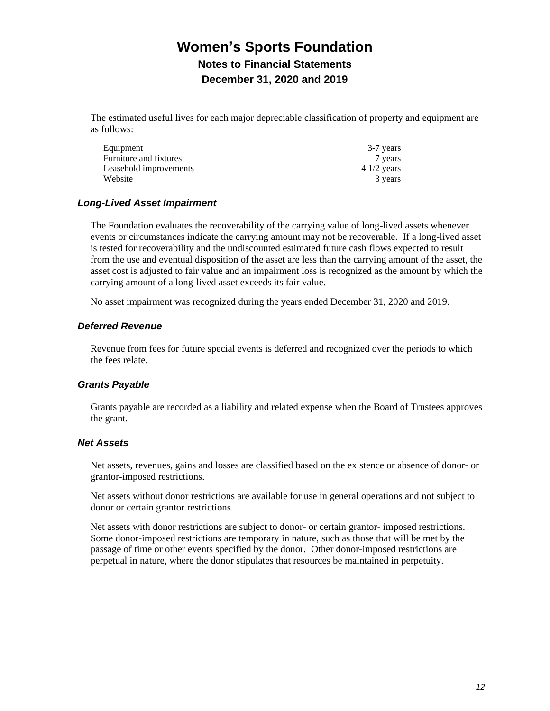The estimated useful lives for each major depreciable classification of property and equipment are as follows:

| Equipment              | 3-7 years    |
|------------------------|--------------|
| Furniture and fixtures | 7 years      |
| Leasehold improvements | $41/2$ years |
| Website                | 3 years      |

## *Long-Lived Asset Impairment*

The Foundation evaluates the recoverability of the carrying value of long-lived assets whenever events or circumstances indicate the carrying amount may not be recoverable. If a long-lived asset is tested for recoverability and the undiscounted estimated future cash flows expected to result from the use and eventual disposition of the asset are less than the carrying amount of the asset, the asset cost is adjusted to fair value and an impairment loss is recognized as the amount by which the carrying amount of a long-lived asset exceeds its fair value.

No asset impairment was recognized during the years ended December 31, 2020 and 2019.

### *Deferred Revenue*

Revenue from fees for future special events is deferred and recognized over the periods to which the fees relate.

## *Grants Payable*

Grants payable are recorded as a liability and related expense when the Board of Trustees approves the grant.

#### *Net Assets*

Net assets, revenues, gains and losses are classified based on the existence or absence of donor- or grantor-imposed restrictions.

Net assets without donor restrictions are available for use in general operations and not subject to donor or certain grantor restrictions.

Net assets with donor restrictions are subject to donor- or certain grantor- imposed restrictions. Some donor-imposed restrictions are temporary in nature, such as those that will be met by the passage of time or other events specified by the donor. Other donor-imposed restrictions are perpetual in nature, where the donor stipulates that resources be maintained in perpetuity.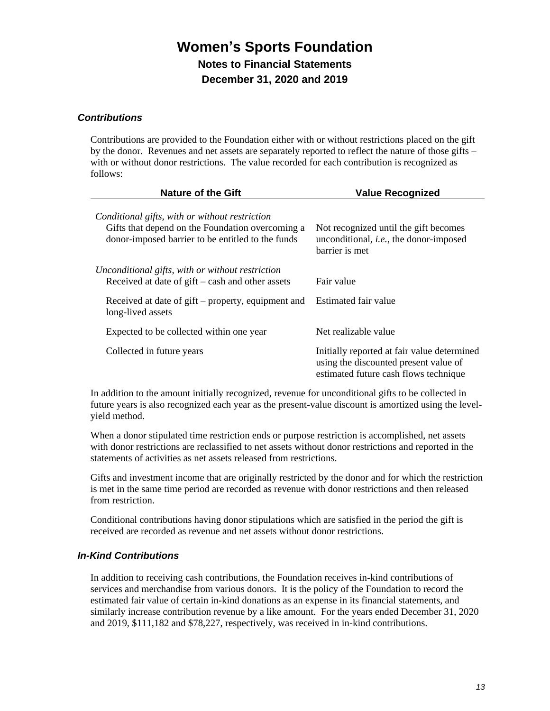## *Contributions*

Contributions are provided to the Foundation either with or without restrictions placed on the gift by the donor. Revenues and net assets are separately reported to reflect the nature of those gifts – with or without donor restrictions. The value recorded for each contribution is recognized as follows:

| <b>Nature of the Gift</b>                                                                                                                               | <b>Value Recognized</b>                                                                                                       |
|---------------------------------------------------------------------------------------------------------------------------------------------------------|-------------------------------------------------------------------------------------------------------------------------------|
| Conditional gifts, with or without restriction<br>Gifts that depend on the Foundation overcoming a<br>donor-imposed barrier to be entitled to the funds | Not recognized until the gift becomes<br>unconditional, <i>i.e.</i> , the donor-imposed<br>barrier is met                     |
| Unconditional gifts, with or without restriction<br>Received at date of $g$ ift – cash and other assets                                                 | Fair value                                                                                                                    |
| Received at date of gift – property, equipment and<br>long-lived assets                                                                                 | Estimated fair value                                                                                                          |
| Expected to be collected within one year                                                                                                                | Net realizable value                                                                                                          |
| Collected in future years                                                                                                                               | Initially reported at fair value determined<br>using the discounted present value of<br>estimated future cash flows technique |

In addition to the amount initially recognized, revenue for unconditional gifts to be collected in future years is also recognized each year as the present-value discount is amortized using the levelyield method.

When a donor stipulated time restriction ends or purpose restriction is accomplished, net assets with donor restrictions are reclassified to net assets without donor restrictions and reported in the statements of activities as net assets released from restrictions.

Gifts and investment income that are originally restricted by the donor and for which the restriction is met in the same time period are recorded as revenue with donor restrictions and then released from restriction.

Conditional contributions having donor stipulations which are satisfied in the period the gift is received are recorded as revenue and net assets without donor restrictions.

## *In-Kind Contributions*

In addition to receiving cash contributions, the Foundation receives in-kind contributions of services and merchandise from various donors. It is the policy of the Foundation to record the estimated fair value of certain in-kind donations as an expense in its financial statements, and similarly increase contribution revenue by a like amount. For the years ended December 31, 2020 and 2019, \$111,182 and \$78,227, respectively, was received in in-kind contributions.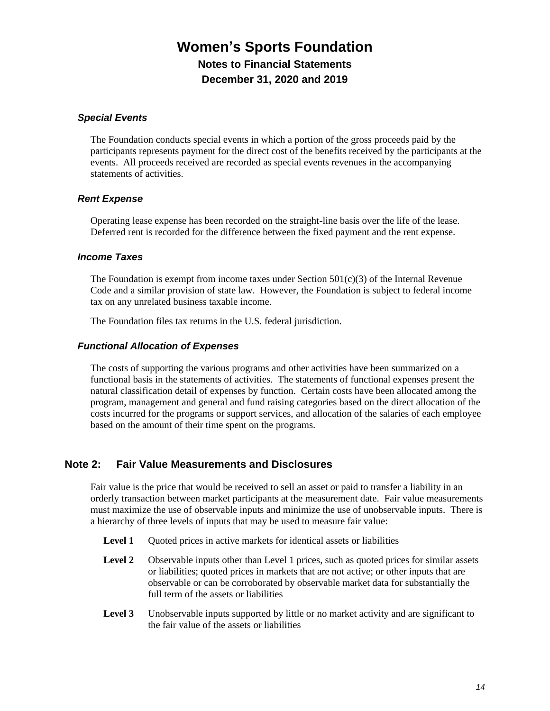### *Special Events*

The Foundation conducts special events in which a portion of the gross proceeds paid by the participants represents payment for the direct cost of the benefits received by the participants at the events. All proceeds received are recorded as special events revenues in the accompanying statements of activities.

### *Rent Expense*

Operating lease expense has been recorded on the straight-line basis over the life of the lease. Deferred rent is recorded for the difference between the fixed payment and the rent expense.

### *Income Taxes*

The Foundation is exempt from income taxes under Section  $501(c)(3)$  of the Internal Revenue Code and a similar provision of state law. However, the Foundation is subject to federal income tax on any unrelated business taxable income.

The Foundation files tax returns in the U.S. federal jurisdiction.

#### *Functional Allocation of Expenses*

The costs of supporting the various programs and other activities have been summarized on a functional basis in the statements of activities. The statements of functional expenses present the natural classification detail of expenses by function. Certain costs have been allocated among the program, management and general and fund raising categories based on the direct allocation of the costs incurred for the programs or support services, and allocation of the salaries of each employee based on the amount of their time spent on the programs.

## **Note 2: Fair Value Measurements and Disclosures**

Fair value is the price that would be received to sell an asset or paid to transfer a liability in an orderly transaction between market participants at the measurement date. Fair value measurements must maximize the use of observable inputs and minimize the use of unobservable inputs. There is a hierarchy of three levels of inputs that may be used to measure fair value:

- **Level 1** Quoted prices in active markets for identical assets or liabilities
- Level 2 Observable inputs other than Level 1 prices, such as quoted prices for similar assets or liabilities; quoted prices in markets that are not active; or other inputs that are observable or can be corroborated by observable market data for substantially the full term of the assets or liabilities
- **Level 3** Unobservable inputs supported by little or no market activity and are significant to the fair value of the assets or liabilities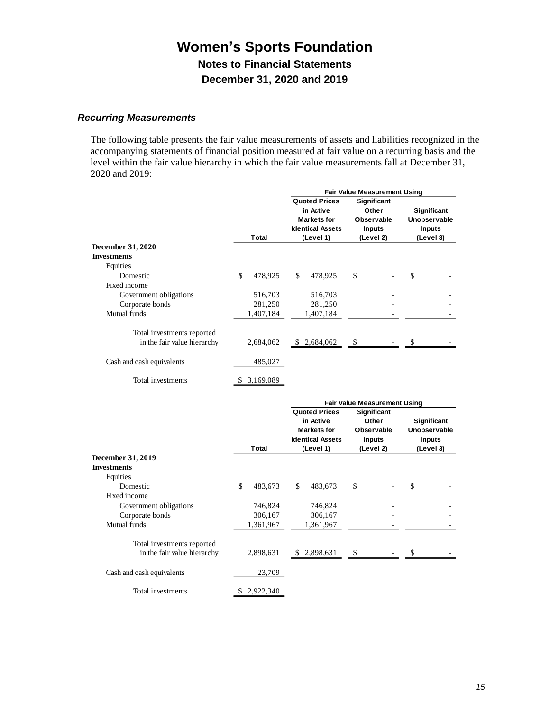# *Recurring Measurements*

The following table presents the fair value measurements of assets and liabilities recognized in the accompanying statements of financial position measured at fair value on a recurring basis and the level within the fair value hierarchy in which the fair value measurements fall at December 31, 2020 and 2019:

|                             |                 | <b>Fair Value Measurement Using</b>                                                |                         |                                                                   |           |                                              |  |
|-----------------------------|-----------------|------------------------------------------------------------------------------------|-------------------------|-------------------------------------------------------------------|-----------|----------------------------------------------|--|
|                             |                 | <b>Quoted Prices</b><br>in Active<br><b>Markets for</b><br><b>Identical Assets</b> |                         | <b>Significant</b><br>Other<br><b>Observable</b><br><b>Inputs</b> |           | Significant<br>Unobservable<br><b>Inputs</b> |  |
|                             | <b>Total</b>    |                                                                                    | (Level 1)               |                                                                   | (Level 2) | (Level 3)                                    |  |
| <b>December 31, 2020</b>    |                 |                                                                                    |                         |                                                                   |           |                                              |  |
| <b>Investments</b>          |                 |                                                                                    |                         |                                                                   |           |                                              |  |
| Equities                    |                 |                                                                                    |                         |                                                                   |           |                                              |  |
| Domestic                    | \$<br>478,925   | \$                                                                                 | 478,925                 | \$                                                                |           | \$                                           |  |
| Fixed income                |                 |                                                                                    |                         |                                                                   |           |                                              |  |
| Government obligations      | 516,703         |                                                                                    | 516,703                 |                                                                   |           |                                              |  |
| Corporate bonds             | 281,250         |                                                                                    | 281,250                 |                                                                   |           |                                              |  |
| Mutual funds                | 1,407,184       |                                                                                    | 1,407,184               |                                                                   |           |                                              |  |
| Total investments reported  |                 |                                                                                    |                         |                                                                   |           |                                              |  |
| in the fair value hierarchy | 2,684,062       | \$.                                                                                | 2,684,062               | \$                                                                |           | \$                                           |  |
|                             |                 |                                                                                    |                         |                                                                   |           |                                              |  |
| Cash and cash equivalents   | 485,027         |                                                                                    |                         |                                                                   |           |                                              |  |
| Total investments           | \$<br>3,169,089 |                                                                                    |                         |                                                                   |           |                                              |  |
|                             |                 |                                                                                    |                         | <b>Fair Value Measurement Using</b>                               |           |                                              |  |
|                             |                 |                                                                                    | <b>Quoted Prices</b>    | <b>Significant</b>                                                |           |                                              |  |
|                             |                 |                                                                                    | in Active               | Other                                                             |           | Significant                                  |  |
|                             |                 |                                                                                    | <b>Markets for</b>      | <b>Observable</b>                                                 |           | Unobservable                                 |  |
|                             |                 |                                                                                    | <b>Identical Assets</b> | <b>Inputs</b>                                                     |           | <b>Inputs</b>                                |  |
|                             | <b>Total</b>    |                                                                                    | (Level 1)               | (Level 2)                                                         |           | (Level 3)                                    |  |
| December 31, 2019           |                 |                                                                                    |                         |                                                                   |           |                                              |  |
| <b>Investments</b>          |                 |                                                                                    |                         |                                                                   |           |                                              |  |
| Equities                    |                 |                                                                                    |                         |                                                                   |           |                                              |  |
| Domestic                    | \$<br>483,673   | \$                                                                                 | 483,673                 | \$                                                                |           | \$                                           |  |
| Fixed income                |                 |                                                                                    |                         |                                                                   |           |                                              |  |
| Government obligations      | 746,824         |                                                                                    | 746,824                 |                                                                   |           |                                              |  |
| Corporate bonds             | 306,167         |                                                                                    | 306,167                 |                                                                   |           |                                              |  |
| Mutual funds                | 1,361,967       |                                                                                    | 1,361,967               |                                                                   |           |                                              |  |
| Total investments reported  |                 |                                                                                    |                         |                                                                   |           |                                              |  |
| in the fair value hierarchy | 2,898,631       | S,                                                                                 | 2,898,631               | \$                                                                |           | \$                                           |  |
| Cash and cash equivalents   | 23,709          |                                                                                    |                         |                                                                   |           |                                              |  |
| Total investments           | \$<br>2,922,340 |                                                                                    |                         |                                                                   |           |                                              |  |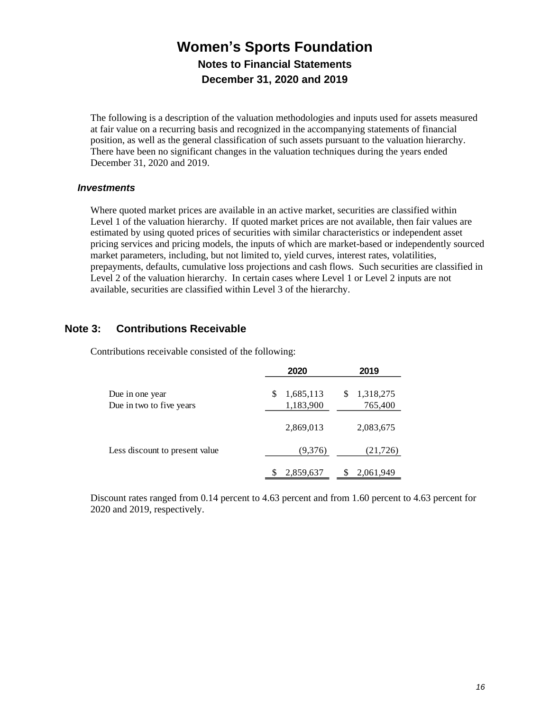The following is a description of the valuation methodologies and inputs used for assets measured at fair value on a recurring basis and recognized in the accompanying statements of financial position, as well as the general classification of such assets pursuant to the valuation hierarchy. There have been no significant changes in the valuation techniques during the years ended December 31, 2020 and 2019.

### *Investments*

Where quoted market prices are available in an active market, securities are classified within Level 1 of the valuation hierarchy. If quoted market prices are not available, then fair values are estimated by using quoted prices of securities with similar characteristics or independent asset pricing services and pricing models, the inputs of which are market-based or independently sourced market parameters, including, but not limited to, yield curves, interest rates, volatilities, prepayments, defaults, cumulative loss projections and cash flows. Such securities are classified in Level 2 of the valuation hierarchy. In certain cases where Level 1 or Level 2 inputs are not available, securities are classified within Level 3 of the hierarchy.

# **Note 3: Contributions Receivable**

Contributions receivable consisted of the following:

|                                             | 2020                         | 2019                       |
|---------------------------------------------|------------------------------|----------------------------|
| Due in one year<br>Due in two to five years | 1,685,113<br>\$<br>1,183,900 | 1,318,275<br>\$<br>765,400 |
|                                             | 2,869,013                    | 2,083,675                  |
| Less discount to present value              | (9,376)                      | (21, 726)                  |
|                                             | 2,859,637                    | 2,061,949                  |

Discount rates ranged from 0.14 percent to 4.63 percent and from 1.60 percent to 4.63 percent for 2020 and 2019, respectively.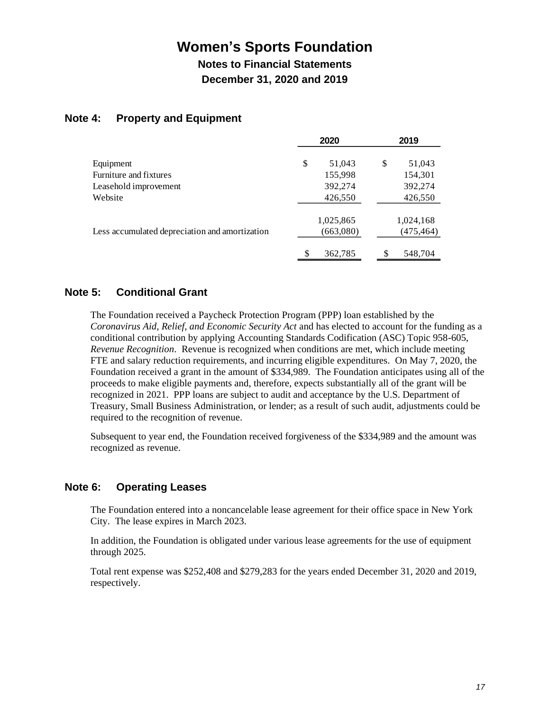**Notes to Financial Statements December 31, 2020 and 2019**

# **Note 4: Property and Equipment**

|                                                | 2020          | 2019         |
|------------------------------------------------|---------------|--------------|
| Equipment                                      | \$<br>51,043  | \$<br>51,043 |
| Furniture and fixtures                         | 155,998       | 154,301      |
| Leasehold improvement                          | 392,274       | 392,274      |
| Website                                        | 426,550       | 426,550      |
|                                                | 1,025,865     | 1,024,168    |
| Less accumulated depreciation and amortization | (663,080)     | (475,464)    |
|                                                | \$<br>362,785 | 548,704      |

# **Note 5: Conditional Grant**

The Foundation received a Paycheck Protection Program (PPP) loan established by the *Coronavirus Aid, Relief, and Economic Security Act* and has elected to account for the funding as a conditional contribution by applying Accounting Standards Codification (ASC) Topic 958-605, *Revenue Recognition*. Revenue is recognized when conditions are met, which include meeting FTE and salary reduction requirements, and incurring eligible expenditures. On May 7, 2020, the Foundation received a grant in the amount of \$334,989. The Foundation anticipates using all of the proceeds to make eligible payments and, therefore, expects substantially all of the grant will be recognized in 2021. PPP loans are subject to audit and acceptance by the U.S. Department of Treasury, Small Business Administration, or lender; as a result of such audit, adjustments could be required to the recognition of revenue.

Subsequent to year end, the Foundation received forgiveness of the \$334,989 and the amount was recognized as revenue.

## **Note 6: Operating Leases**

The Foundation entered into a noncancelable lease agreement for their office space in New York City. The lease expires in March 2023.

In addition, the Foundation is obligated under various lease agreements for the use of equipment through 2025.

Total rent expense was \$252,408 and \$279,283 for the years ended December 31, 2020 and 2019, respectively.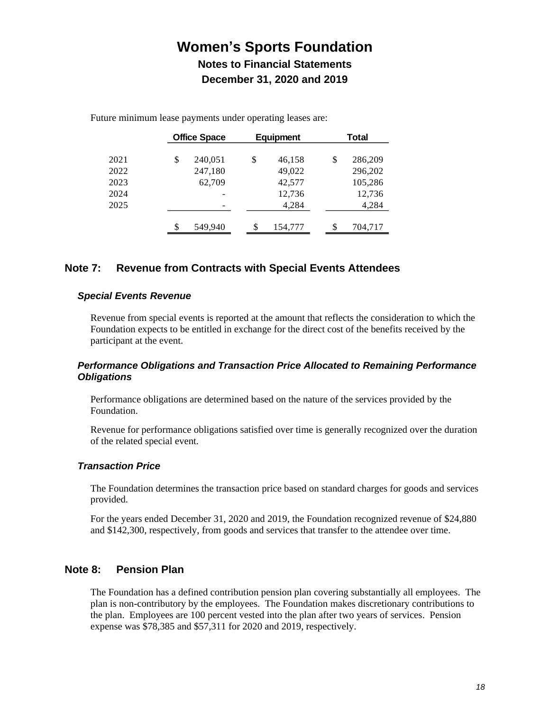|      | <b>Office Space</b> | <b>Equipment</b> | <b>Total</b>  |
|------|---------------------|------------------|---------------|
| 2021 | \$<br>240,051       | \$<br>46,158     | \$<br>286,209 |
| 2022 | 247,180             | 49,022           | 296,202       |
| 2023 | 62,709              | 42,577           | 105,286       |
| 2024 |                     | 12,736           | 12,736        |
| 2025 |                     | 4,284            | 4,284         |
|      | \$<br>549,940       | \$<br>154,777    | \$<br>704,717 |

Future minimum lease payments under operating leases are:

# **Note 7: Revenue from Contracts with Special Events Attendees**

#### *Special Events Revenue*

Revenue from special events is reported at the amount that reflects the consideration to which the Foundation expects to be entitled in exchange for the direct cost of the benefits received by the participant at the event.

## *Performance Obligations and Transaction Price Allocated to Remaining Performance Obligations*

Performance obligations are determined based on the nature of the services provided by the Foundation.

Revenue for performance obligations satisfied over time is generally recognized over the duration of the related special event.

## *Transaction Price*

The Foundation determines the transaction price based on standard charges for goods and services provided.

For the years ended December 31, 2020 and 2019, the Foundation recognized revenue of \$24,880 and \$142,300, respectively, from goods and services that transfer to the attendee over time.

## **Note 8: Pension Plan**

The Foundation has a defined contribution pension plan covering substantially all employees. The plan is non-contributory by the employees. The Foundation makes discretionary contributions to the plan. Employees are 100 percent vested into the plan after two years of services. Pension expense was \$78,385 and \$57,311 for 2020 and 2019, respectively.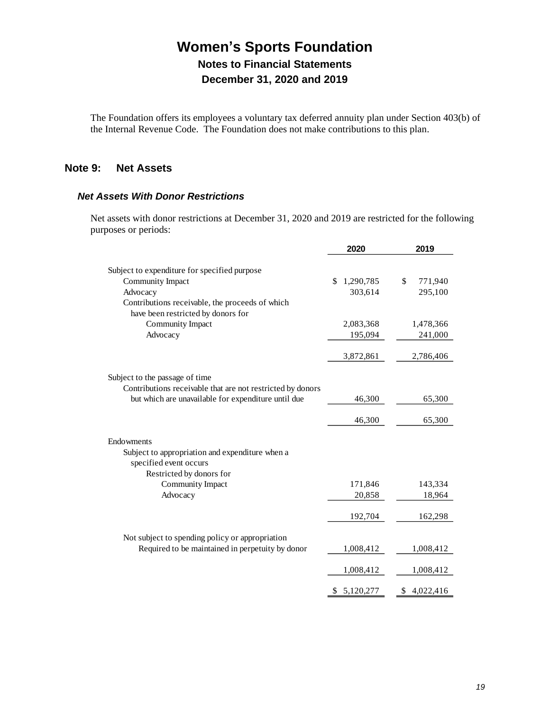The Foundation offers its employees a voluntary tax deferred annuity plan under Section 403(b) of the Internal Revenue Code. The Foundation does not make contributions to this plan.

# **Note 9: Net Assets**

### *Net Assets With Donor Restrictions*

Net assets with donor restrictions at December 31, 2020 and 2019 are restricted for the following purposes or periods:

|                                                                                       | 2020            | 2019          |
|---------------------------------------------------------------------------------------|-----------------|---------------|
| Subject to expenditure for specified purpose                                          |                 |               |
| Community Impact                                                                      | 1,290,785<br>\$ | \$<br>771,940 |
| Advocacy                                                                              | 303,614         | 295,100       |
| Contributions receivable, the proceeds of which<br>have been restricted by donors for |                 |               |
| Community Impact                                                                      | 2,083,368       | 1,478,366     |
| Advocacy                                                                              | 195,094         | 241,000       |
|                                                                                       | 3,872,861       | 2,786,406     |
| Subject to the passage of time                                                        |                 |               |
| Contributions receivable that are not restricted by donors                            |                 |               |
| but which are unavailable for expenditure until due                                   | 46,300          | 65,300        |
|                                                                                       | 46,300          | 65,300        |
| Endowments                                                                            |                 |               |
| Subject to appropriation and expenditure when a<br>specified event occurs             |                 |               |
| Restricted by donors for                                                              |                 |               |
| Community Impact                                                                      | 171,846         | 143,334       |
| Advocacy                                                                              | 20,858          | 18,964        |
|                                                                                       | 192,704         | 162,298       |
| Not subject to spending policy or appropriation                                       |                 |               |
| Required to be maintained in perpetuity by donor                                      | 1,008,412       | 1,008,412     |
|                                                                                       | 1,008,412       | 1,008,412     |
|                                                                                       | \$5,120,277     | \$4,022,416   |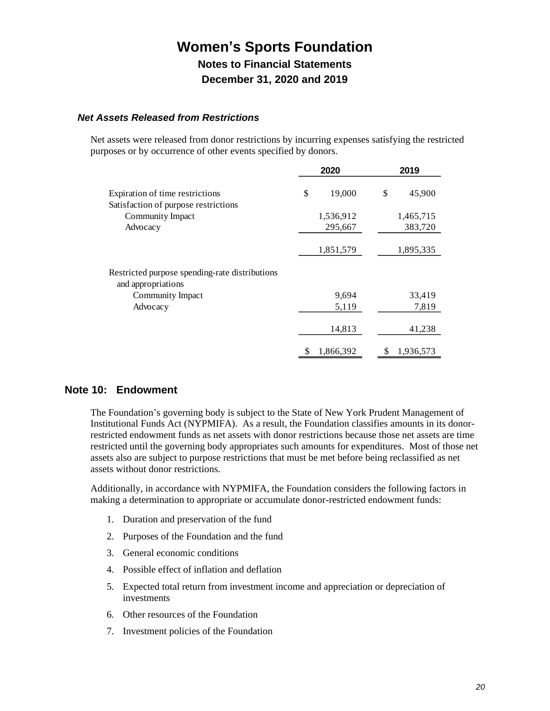### *Net Assets Released from Restrictions*

Net assets were released from donor restrictions by incurring expenses satisfying the restricted purposes or by occurrence of other events specified by donors.

|                                                                      | 2020            | 2019            |
|----------------------------------------------------------------------|-----------------|-----------------|
| Expiration of time restrictions                                      | 19,000<br>\$    | \$<br>45,900    |
| Satisfaction of purpose restrictions<br>Community Impact             | 1,536,912       | 1,465,715       |
| Advocacy                                                             | 295,667         | 383,720         |
|                                                                      | 1,851,579       | 1,895,335       |
| Restricted purpose spending-rate distributions<br>and appropriations |                 |                 |
| Community Impact                                                     | 9,694           | 33,419          |
| Advocacy                                                             | 5,119           | 7,819           |
|                                                                      | 14,813          | 41,238          |
|                                                                      | 1,866,392<br>\$ | 1,936,573<br>\$ |

## **Note 10: Endowment**

The Foundation's governing body is subject to the State of New York Prudent Management of Institutional Funds Act (NYPMIFA). As a result, the Foundation classifies amounts in its donorrestricted endowment funds as net assets with donor restrictions because those net assets are time restricted until the governing body appropriates such amounts for expenditures. Most of those net assets also are subject to purpose restrictions that must be met before being reclassified as net assets without donor restrictions.

Additionally, in accordance with NYPMIFA, the Foundation considers the following factors in making a determination to appropriate or accumulate donor-restricted endowment funds:

- 1. Duration and preservation of the fund
- 2. Purposes of the Foundation and the fund
- 3. General economic conditions
- 4. Possible effect of inflation and deflation
- 5. Expected total return from investment income and appreciation or depreciation of investments
- 6. Other resources of the Foundation
- 7. Investment policies of the Foundation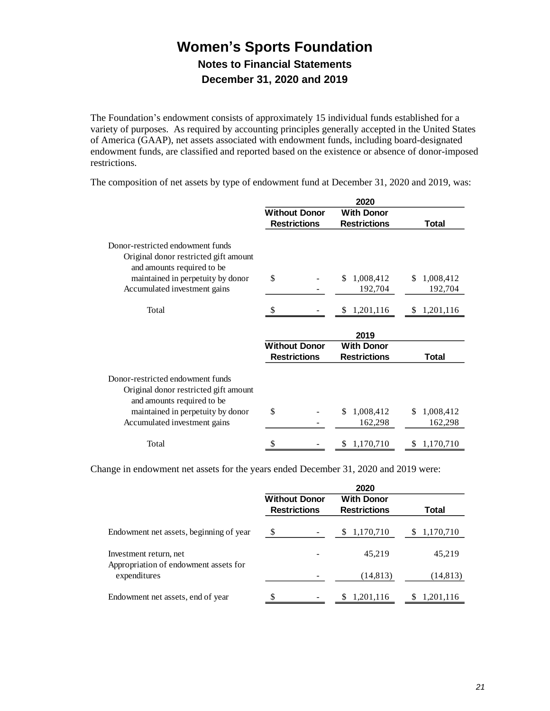The Foundation's endowment consists of approximately 15 individual funds established for a variety of purposes. As required by accounting principles generally accepted in the United States of America (GAAP), net assets associated with endowment funds, including board-designated endowment funds, are classified and reported based on the existence or absence of donor-imposed restrictions.

|                                                                                                                                                                              | 2020                 |  |    |                      |    |                      |
|------------------------------------------------------------------------------------------------------------------------------------------------------------------------------|----------------------|--|----|----------------------|----|----------------------|
|                                                                                                                                                                              | <b>Without Donor</b> |  |    | <b>With Donor</b>    |    |                      |
|                                                                                                                                                                              | <b>Restrictions</b>  |  |    | <b>Restrictions</b>  |    | Total                |
| Donor-restricted endowment funds<br>Original donor restricted gift amount<br>and amounts required to be                                                                      |                      |  |    |                      |    |                      |
| maintained in perpetuity by donor                                                                                                                                            | \$                   |  | \$ | 1,008,412            | S  | 1,008,412            |
| Accumulated investment gains                                                                                                                                                 |                      |  |    | 192,704              |    | 192,704              |
| Total                                                                                                                                                                        |                      |  | S. | 1,201,116            |    | \$1,201,116          |
|                                                                                                                                                                              |                      |  |    | 2019                 |    |                      |
|                                                                                                                                                                              | <b>Without Donor</b> |  |    | <b>With Donor</b>    |    |                      |
|                                                                                                                                                                              | <b>Restrictions</b>  |  |    | <b>Restrictions</b>  |    | Total                |
| Donor-restricted endowment funds<br>Original donor restricted gift amount<br>and amounts required to be<br>maintained in perpetuity by donor<br>Accumulated investment gains | \$                   |  | \$ | 1,008,412<br>162,298 | \$ | 1,008,412<br>162,298 |
| Total                                                                                                                                                                        | \$                   |  | S  | 1,170,710            | \$ | 1,170,710            |

The composition of net assets by type of endowment fund at December 31, 2020 and 2019, was:

Change in endowment net assets for the years ended December 31, 2020 and 2019 were:

| <b>Without Donor</b> | <b>With Donor</b>   |                             |  |
|----------------------|---------------------|-----------------------------|--|
|                      |                     | Total                       |  |
| \$                   | 1,170,710<br>S      | 1,170,710<br>S              |  |
|                      | 45,219              | 45,219                      |  |
|                      | (14, 813)           | (14, 813)                   |  |
| \$                   | 1,201,116<br>S.     | 1,201,116<br>\$.            |  |
|                      | <b>Restrictions</b> | 2020<br><b>Restrictions</b> |  |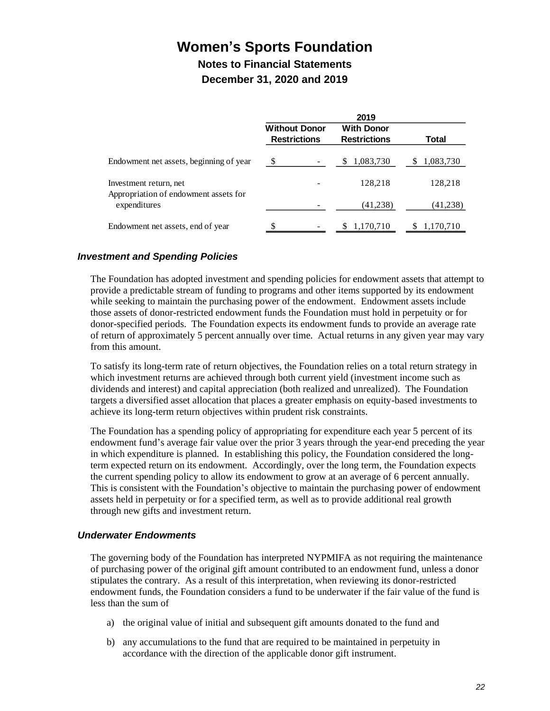**Notes to Financial Statements December 31, 2020 and 2019**

|                                             | 2019                                     |                |
|---------------------------------------------|------------------------------------------|----------------|
| <b>Without Donor</b><br><b>Restrictions</b> | <b>With Donor</b><br><b>Restrictions</b> | Total          |
| S                                           | 1,083,730<br>S                           | 1,083,730<br>S |
|                                             | 128,218                                  | 128,218        |
|                                             | (41, 238)                                | (41,238)       |
| $\overline{\phantom{0}}$                    | 1,170,710<br>S.                          | 1,170,710      |
|                                             |                                          |                |

## *Investment and Spending Policies*

The Foundation has adopted investment and spending policies for endowment assets that attempt to provide a predictable stream of funding to programs and other items supported by its endowment while seeking to maintain the purchasing power of the endowment. Endowment assets include those assets of donor-restricted endowment funds the Foundation must hold in perpetuity or for donor-specified periods. The Foundation expects its endowment funds to provide an average rate of return of approximately 5 percent annually over time. Actual returns in any given year may vary from this amount.

To satisfy its long-term rate of return objectives, the Foundation relies on a total return strategy in which investment returns are achieved through both current yield (investment income such as dividends and interest) and capital appreciation (both realized and unrealized). The Foundation targets a diversified asset allocation that places a greater emphasis on equity-based investments to achieve its long-term return objectives within prudent risk constraints.

The Foundation has a spending policy of appropriating for expenditure each year 5 percent of its endowment fund's average fair value over the prior 3 years through the year-end preceding the year in which expenditure is planned. In establishing this policy, the Foundation considered the longterm expected return on its endowment. Accordingly, over the long term, the Foundation expects the current spending policy to allow its endowment to grow at an average of 6 percent annually. This is consistent with the Foundation's objective to maintain the purchasing power of endowment assets held in perpetuity or for a specified term, as well as to provide additional real growth through new gifts and investment return.

#### *Underwater Endowments*

The governing body of the Foundation has interpreted NYPMIFA as not requiring the maintenance of purchasing power of the original gift amount contributed to an endowment fund, unless a donor stipulates the contrary. As a result of this interpretation, when reviewing its donor-restricted endowment funds, the Foundation considers a fund to be underwater if the fair value of the fund is less than the sum of

- a) the original value of initial and subsequent gift amounts donated to the fund and
- b) any accumulations to the fund that are required to be maintained in perpetuity in accordance with the direction of the applicable donor gift instrument.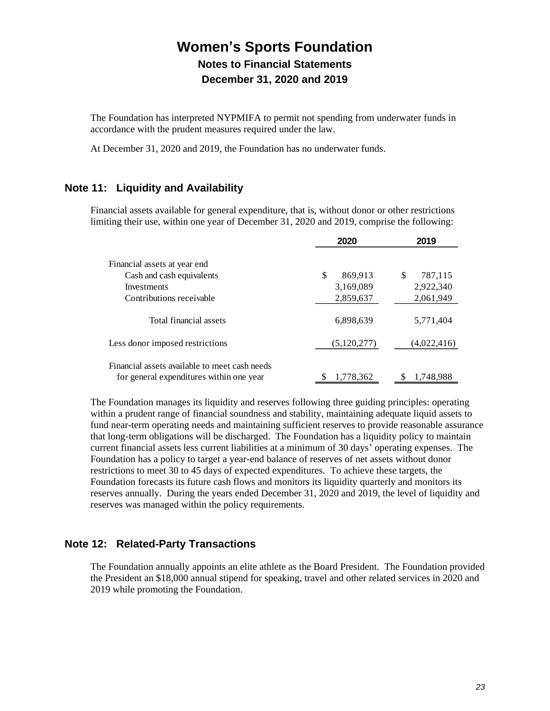The Foundation has interpreted NYPMIFA to permit not spending from underwater funds in accordance with the prudent measures required under the law.

At December 31, 2020 and 2019, the Foundation has no underwater funds.

# **Note 11: Liquidity and Availability**

Financial assets available for general expenditure, that is, without donor or other restrictions limiting their use, within one year of December 31, 2020 and 2019, comprise the following:

|                                                                                           | 2020            | 2019          |
|-------------------------------------------------------------------------------------------|-----------------|---------------|
| Financial assets at year end                                                              |                 |               |
| Cash and cash equivalents                                                                 | \$<br>869,913   | 787,115<br>\$ |
| Investments                                                                               | 3,169,089       | 2,922,340     |
| Contributions receivable                                                                  | 2,859,637       | 2,061,949     |
| Total financial assets                                                                    | 6,898,639       | 5,771,404     |
| Less donor imposed restrictions                                                           | (5,120,277)     | (4,022,416)   |
| Financial assets available to meet cash needs<br>for general expenditures within one year | \$<br>1.778.362 | 1.748.988     |

The Foundation manages its liquidity and reserves following three guiding principles: operating within a prudent range of financial soundness and stability, maintaining adequate liquid assets to fund near-term operating needs and maintaining sufficient reserves to provide reasonable assurance that long-term obligations will be discharged. The Foundation has a liquidity policy to maintain current financial assets less current liabilities at a minimum of 30 days' operating expenses. The Foundation has a policy to target a year-end balance of reserves of net assets without donor restrictions to meet 30 to 45 days of expected expenditures. To achieve these targets, the Foundation forecasts its future cash flows and monitors its liquidity quarterly and monitors its reserves annually. During the years ended December 31, 2020 and 2019, the level of liquidity and reserves was managed within the policy requirements.

# **Note 12: Related-Party Transactions**

The Foundation annually appoints an elite athlete as the Board President. The Foundation provided the President an \$18,000 annual stipend for speaking, travel and other related services in 2020 and 2019 while promoting the Foundation.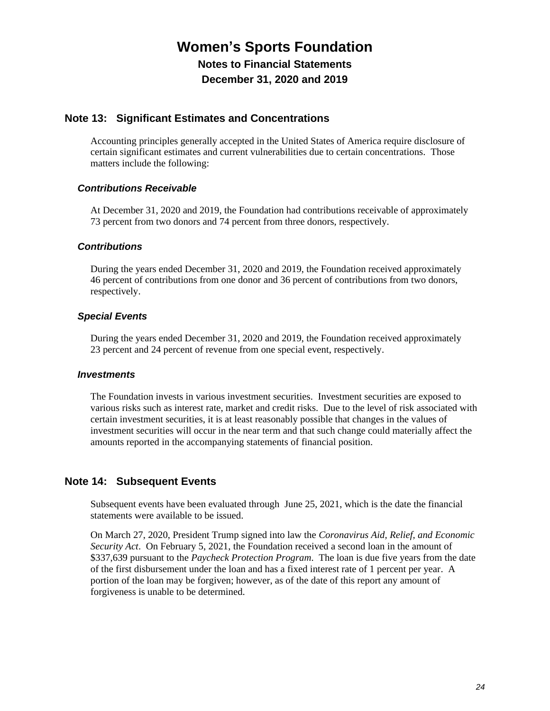**Notes to Financial Statements December 31, 2020 and 2019**

## **Note 13: Significant Estimates and Concentrations**

Accounting principles generally accepted in the United States of America require disclosure of certain significant estimates and current vulnerabilities due to certain concentrations. Those matters include the following:

### *Contributions Receivable*

At December 31, 2020 and 2019, the Foundation had contributions receivable of approximately 73 percent from two donors and 74 percent from three donors, respectively.

### *Contributions*

During the years ended December 31, 2020 and 2019, the Foundation received approximately 46 percent of contributions from one donor and 36 percent of contributions from two donors, respectively.

### *Special Events*

During the years ended December 31, 2020 and 2019, the Foundation received approximately 23 percent and 24 percent of revenue from one special event, respectively.

#### *Investments*

The Foundation invests in various investment securities. Investment securities are exposed to various risks such as interest rate, market and credit risks. Due to the level of risk associated with certain investment securities, it is at least reasonably possible that changes in the values of investment securities will occur in the near term and that such change could materially affect the amounts reported in the accompanying statements of financial position.

## **Note 14: Subsequent Events**

Subsequent events have been evaluated through June 25, 2021, which is the date the financial statements were available to be issued.

On March 27, 2020, President Trump signed into law the *Coronavirus Aid, Relief, and Economic Security Act*. On February 5, 2021, the Foundation received a second loan in the amount of \$337,639 pursuant to the *Paycheck Protection Program*. The loan is due five years from the date of the first disbursement under the loan and has a fixed interest rate of 1 percent per year. A portion of the loan may be forgiven; however, as of the date of this report any amount of forgiveness is unable to be determined.